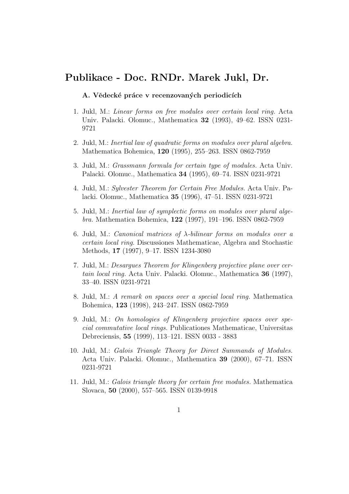# Publikace - Doc. RNDr. Marek Jukl, Dr.

# A. Vědecké práce v recenzovaných periodicích

- 1. Jukl, M.: Linear forms on free modules over certain local ring. Acta Univ. Palacki. Olomuc., Mathematica 32 (1993), 49–62. ISSN 0231- 9721
- 2. Jukl, M.: Inertial law of quadratic forms on modules over plural algebra. Mathematica Bohemica, 120 (1995), 255–263. ISSN 0862-7959
- 3. Jukl, M.: Grassmann formula for certain type of modules. Acta Univ. Palacki. Olomuc., Mathematica 34 (1995), 69–74. ISSN 0231-9721
- 4. Jukl, M.: Sylvester Theorem for Certain Free Modules. Acta Univ. Palacki. Olomuc., Mathematica 35 (1996), 47–51. ISSN 0231-9721
- 5. Jukl, M.: Inertial law of symplectic forms on modules over plural algebra. Mathematica Bohemica, 122 (1997), 191–196. ISSN 0862-7959
- 6. Jukl, M.: Canonical matrices of  $\lambda$ -bilinear forms on modules over a certain local ring. Discussiones Mathematicae, Algebra and Stochastic Methods, 17 (1997), 9–17. ISSN 1234-3080
- 7. Jukl, M.: Desargues Theorem for Klingenberg projective plane over certain local ring. Acta Univ. Palacki. Olomuc., Mathematica 36 (1997), 33–40. ISSN 0231-9721
- 8. Jukl, M.: A remark on spaces over a special local ring. Mathematica Bohemica, 123 (1998), 243–247. ISSN 0862-7959
- 9. Jukl, M.: On homologies of Klingenberg projective spaces over special commutative local rings. Publicationes Mathematicae, Universitas Debreciensis, 55 (1999), 113–121. ISSN 0033 - 3883
- 10. Jukl, M.: Galois Triangle Theory for Direct Summands of Modules. Acta Univ. Palacki. Olomuc., Mathematica 39 (2000), 67–71. ISSN 0231-9721
- 11. Jukl, M.: Galois triangle theory for certain free modules. Mathematica Slovaca, 50 (2000), 557–565. ISSN 0139-9918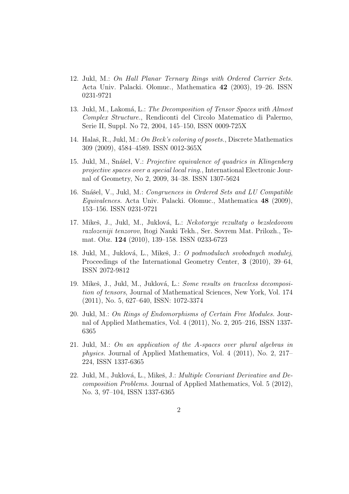- 12. Jukl, M.: On Hall Planar Ternary Rings with Ordered Carrier Sets. Acta Univ. Palacki. Olomuc., Mathematica 42 (2003), 19–26. ISSN 0231-9721
- 13. Jukl, M., Lakomá, L.: The Decomposition of Tensor Spaces with Almost Complex Structure., Rendiconti del Circolo Matematico di Palermo, Serie II, Suppl. No 72, 2004, 145–150, ISSN 0009-725X
- 14. Halaš, R., Jukl, M.: On Beck's coloring of posets., Discrete Mathematics 309 (2009), 4584–4589. ISSN 0012-365X
- 15. Jukl, M., Snášel, V.: Projective equivalence of quadrics in Klingenberg projective spaces over a special local ring., International Electronic Journal of Geometry, No 2, 2009, 34–38. ISSN 1307-5624
- 16. Snášel, V., Jukl, M.: Congruences in Ordered Sets and LU Compatible Equivalences. Acta Univ. Palacki. Olomuc., Mathematica 48 (2009), 153–156. ISSN 0231-9721
- 17. Mikeš, J., Jukl, M., Juklová, L.: Nekotoryje rezultaty o bezsledovom razlozeniji tenzorov, Itogi Nauki Tekh., Ser. Sovrem Mat. Prilozh., Temat. Obz. 124 (2010), 139–158. ISSN 0233-6723
- 18. Jukl, M., Juklová, L., Mikeš, J.: O podmodulach svobodnych modulej, Proceedings of the International Geometry Center, 3 (2010), 39–64, ISSN 2072-9812
- 19. Mikeš, J., Jukl, M., Juklová, L.: Some results on traceless decomposition of tensors, Journal of Mathematical Sciences, New York, Vol. 174 (2011), No. 5, 627–640, ISSN: 1072-3374
- 20. Jukl, M.: On Rings of Endomorphisms of Certain Free Modules. Journal of Applied Mathematics, Vol. 4 (2011), No. 2, 205–216, ISSN 1337- 6365
- 21. Jukl, M.: On an application of the A-spaces over plural algebras in physics. Journal of Applied Mathematics, Vol. 4 (2011), No. 2, 217– 224, ISSN 1337-6365
- 22. Jukl, M., Juklová, L., Mikeš, J.: Multiple Covariant Derivative and Decomposition Problems. Journal of Applied Mathematics, Vol. 5 (2012), No. 3, 97–104, ISSN 1337-6365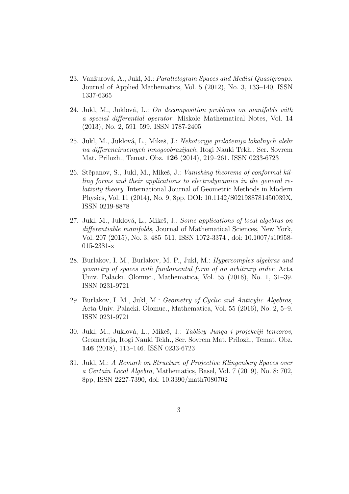- 23. Vanžurová, A., Jukl, M.: Parallelogram Spaces and Medial Quasigroups. Journal of Applied Mathematics, Vol. 5 (2012), No. 3, 133–140, ISSN 1337-6365
- 24. Jukl, M., Juklová, L.: On decomposition problems on manifolds with a special differential operator. Miskolc Mathematical Notes, Vol. 14 (2013), No. 2, 591–599, ISSN 1787-2405
- 25. Jukl, M., Juklová, L., Mikeš, J.: Nekotoryje priloženija lokaľnych alebr na differenciruemych mnogoobrazijach, Itogi Nauki Tekh., Ser. Sovrem Mat. Prilozh., Temat. Obz. 126 (2014), 219–261. ISSN 0233-6723
- 26. Stěpanov, S., Jukl, M., Mikeš, J.: *Vanishing theorems of conformal kil*ling forms and their applications to electrodynamics in the general relativity theory. International Journal of Geometric Methods in Modern Physics, Vol. 11 (2014), No. 9, 8pp, DOI: 10.1142/S021988781450039X, ISSN 0219-8878
- 27. Jukl, M., Juklová, L., Mikeš, J.: Some applications of local algebras on differentiable manifolds, Journal of Mathematical Sciences, New York, Vol. 207 (2015), No. 3, 485–511, ISSN 1072-3374 , doi: 10.1007/s10958- 015-2381-x
- 28. Burlakov, I. M., Burlakov, M. P., Jukl, M.: Hypercomplex algebras and geometry of spaces with fundamental form of an arbitrary order, Acta Univ. Palacki. Olomuc., Mathematica, Vol. 55 (2016), No. 1, 31–39. ISSN 0231-9721
- 29. Burlakov, I. M., Jukl, M.: Geometry of Cyclic and Anticylic Algebras, Acta Univ. Palacki. Olomuc., Mathematica, Vol. 55 (2016), No. 2, 5–9. ISSN 0231-9721
- 30. Jukl, M., Juklová, L., Mikeš, J.: Tablicy Junga i projekciji tenzorov, Geometrija, Itogi Nauki Tekh., Ser. Sovrem Mat. Prilozh., Temat. Obz. 146 (2018), 113–146. ISSN 0233-6723
- 31. Jukl, M.: A Remark on Structure of Projective Klingenberg Spaces over a Certain Local Algebra, Mathematics, Basel, Vol. 7 (2019), No. 8: 702, 8pp, ISSN 2227-7390, doi: 10.3390/math7080702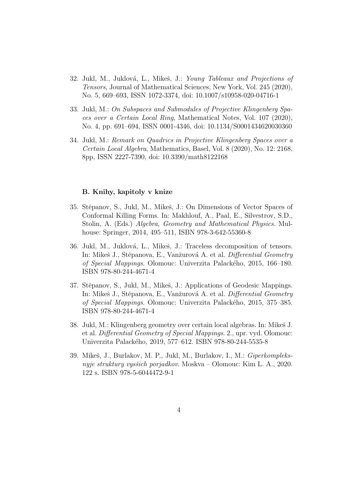- 32. Jukl, M., Juklová, L., Mikeš, J.: *Young Tableaux and Projections of* Tensors, Journal of Mathematical Sciences, New York, Vol. 245 (2020), No. 5, 669–693, ISSN 1072-3374, doi: 10.1007/s10958-020-04716-1
- 33. Jukl, M.: On Subspaces and Submodules of Projective Klingenberg Spaces over a Certain Local Ring, Mathematical Notes, Vol. 107 (2020), No. 4, pp. 691–694, ISSN 0001-4346, doi: 10.1134/S0001434620030360
- 34. Jukl, M.: Remark on Quadrics in Projective Klingenberg Spaces over a Certain Local Algebra, Mathematics, Basel, Vol. 8 (2020), No. 12: 2168, 8pp, ISSN 2227-7390, doi: 10.3390/math8122168

# B. Knihy, kapitoly v knize

- 35. Stěpanov, S., Jukl, M., Mikeš, J.: On Dimensions of Vector Spaces of Conformal Killing Forms. In: Makhlouf, A., Paal, E., Silvestrov, S.D., Stolin, A. (Eds.) Algebra, Geometry and Mathematical Physics. Mulhouse: Springer, 2014, 495–511, ISBN 978-3-642-55360-8
- 36. Jukl, M., Juklová, L., Mikeš, J.: Traceless decomposition of tensors. In: Mikeš J., Stěpanova, E., Vanžurová A. et al. Differential Geometry of Special Mappings. Olomouc: Univerzita Palack´eho, 2015, 166–180. ISBN 978-80-244-4671-4
- 37. Stěpanov, S., Jukl, M., Mikeš, J.: Applications of Geodesic Mappings. In: Mikeš J., Stěpanova, E., Vanžurová A. et al. Differential Geometry of Special Mappings. Olomouc: Univerzita Palack´eho, 2015, 375–385. ISBN 978-80-244-4671-4
- 38. Jukl, M.: Klingenberg geometry over certain local algebras. In: Mikeš J. et al. Differential Geometry of Special Mappings. 2., upr. vyd. Olomouc: Univerzita Palackého, 2019, 577–612. ISBN 978-80-244-5535-8
- 39. Mikeš, J., Burlakov, M. P., Jukl, M., Burlakov, I., M.: Giperkompleksnyje struktury vysšich porjadkov. Moskva – Olomouc: Kim L. A., 2020. 122 s. ISBN 978-5-6044472-9-1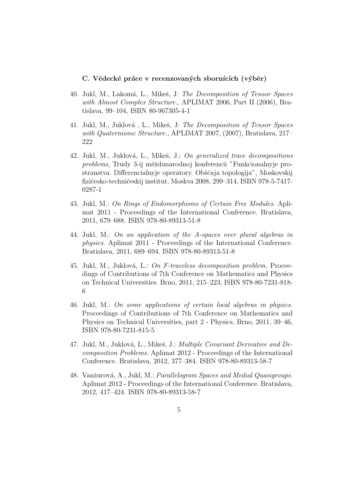# C. Vědecké práce v recenzovaných sbornících (výběr)

- 40. Jukl, M., Lakomá, L., Mikeš, J: The Decomposition of Tensor Spaces with Almost Complex Structure., APLIMAT 2006, Part II (2006), Bratislava, 99–104, ISBN 80-967305-4-1
- 41. Jukl, M., Juklová, L., Mikeš, J: The Decomposition of Tensor Spaces with Quaternionic Structure., APLIMAT 2007, (2007), Bratislava, 217– 222
- 42. Jukl, M., Juklová, L., Mikeš, J.: On generalized trace decompositions problems, Trudy 3-ij měždunarodnoj konferencii "Funkcionalnyje prostranstva. Differencialnyje operatory. Obščaja topologija", Moskovskij fizičesko-techničeskij institut, Moskva 2008, 299–314, ISBN 978-5-7417-0287-1
- 43. Jukl, M.: On Rings of Endomorphisms of Certain Free Modules. Aplimat 2011 - Proceedings of the International Conference. Bratislava, 2011, 679–688. ISBN 978-80-89313-51-8
- 44. Jukl, M.: On an application of the A-spaces over plural algebras in physics. Aplimat 2011 - Proceedings of the International Conference. Bratislava, 2011, 689–694. ISBN 978-80-89313-51-8
- 45. Jukl, M., Juklová, L.: On F-traceless decomposition problem. Proceedings of Contributions of 7th Conference on Mathematics and Physics on Technical Universities. Brno, 2011, 215–223, ISBN 978-80-7231-818- 6
- 46. Jukl, M.: On some applications of certain local algebras in physics. Proceedings of Contributions of 7th Conference on Mathematics and Physics on Technical Universities, part 2 - Physics. Brno, 2011, 39–46, ISBN 978-80-7231-815-5
- 47. Jukl, M., Juklová, L., Mikeš, J.: Multiple Covariant Derivative and Decomposition Problems. Aplimat 2012 - Proceedings of the International Conference. Bratislava, 2012, 377–384. ISBN 978-80-89313-58-7
- 48. Vanžurová, A., Jukl, M.: Parallelogram Spaces and Medial Quasigroups. Aplimat 2012 - Proceedings of the International Conference. Bratislava, 2012, 417–424. ISBN 978-80-89313-58-7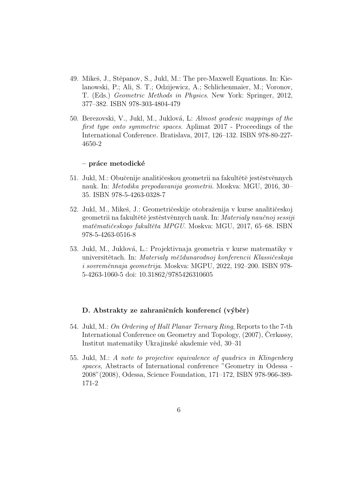- 49. Mikeš, J., Stěpanov, S., Jukl, M.: The pre-Maxwell Equations. In: Kielanowski, P.; Ali, S. T.; Odzijewicz, A.; Schlichenmaier, M.; Voronov, T. (Eds.) Geometric Methods in Physics. New York: Springer, 2012, 377–382. ISBN 978-303-4804-479
- 50. Berezovski, V., Jukl, M., Juklová, L: Almost geodesic mappings of the first type onto symmetric spaces. Aplimat 2017 - Proceedings of the International Conference. Bratislava, 2017, 126–132. ISBN 978-80-227- 4650-2

# $-$  práce metodické

- 51. Jukl, M.: Obučenije analitičeskou geometrii na fakultětě jestěstvěnnych nauk. In: Metodika prepodavanija geometrii. Moskva: MGU, 2016, 30– 35. ISBN 978-5-4263-0328-7
- 52. Jukl, M., Mikeš, J.: Geometričeskije otobraženija v kurse analitičeskoj geometrii na fakultětě jestěstvěnnych nauk. In: Materialy naučnoj sessiji matěmatičeskogo fakultěta MPGU. Moskva: MGU, 2017, 65–68. ISBN 978-5-4263-0516-8
- 53. Jukl, M., Juklov´a, L.: Projektivnaja geometria v kurse matematiky v universitětach. In: Materialy měždunarodnoj konferencii Klassičeskaja i sovreměnnaja geometrija. Moskva: MGPU, 2022, 192–200. ISBN 978-5-4263-1060-5 doi: 10.31862/9785426310605

# D. Abstrakty ze zahraničních konferencí (výběr)

- 54. Jukl, M.: On Ordering of Hall Planar Ternary Ring, Reports to the 7-th International Conference on Geometry and Topology,  $(2007)$ , Cerkassy, Institut matematiky Ukrajinské akademie věd, 30–31
- 55. Jukl, M.: A note to projective equivalence of quadrics in Klingenberg spaces, Abstracts of International conference "Geometry in Odessa - 2008"(2008), Odessa, Science Foundation, 171–172, ISBN 978-966-389- 171-2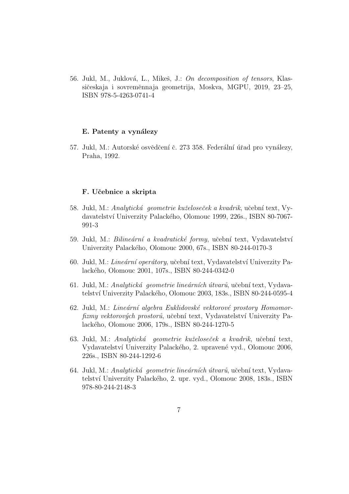56. Jukl, M., Juklová, L., Mikeš, J.: *On decomposition of tensors*, Klassičeskaja i sovreměnnaja geometrija, Moskva, MGPU, 2019, 23–25, ISBN 978-5-4263-0741-4

# E. Patenty a vynálezy

57. Jukl, M.: Autorské osvědčení č. 273 358. Federální úřad pro vynálezy, Praha, 1992.

### F. Uˇcebnice a skripta

- 58. Jukl, M.: Analytická geometrie kuželoseček a kvadrik, učební text, Vydavatelství Univerzity Palackého, Olomouc 1999, 226s., ISBN 80-7067-991-3
- 59. Jukl, M.: Bilineární a kvadratické formy, učební text, Vydavatelství Univerzity Palackého, Olomouc 2000, 67s., ISBN 80-244-0170-3
- 60. Jukl, M.: Lineární operátory, učební text, Vydavatelství Univerzity Palack´eho, Olomouc 2001, 107s., ISBN 80-244-0342-0
- 61. Jukl, M.: Analytická geometrie lineárních útvarů, učební text, Vydavatelství Univerzity Palackého, Olomouc 2003, 183s., ISBN 80-244-0595-4
- 62. Jukl, M.: Lineární algebra Euklidovské vektorové prostory Homomorfizmy vektorových prostorů, učební text, Vydavatelství Univerzity Palack´eho, Olomouc 2006, 179s., ISBN 80-244-1270-5
- 63. Jukl, M.: Analytická geometrie kuželoseček a kvadrik, učební text, Vydavatelství Univerzity Palackého, 2. upravené vyd., Olomouc 2006, 226s., ISBN 80-244-1292-6
- 64. Jukl, M.: Analytická geometrie lineárních útvarů, učební text, Vydavatelství Univerzity Palackého, 2. upr. vyd., Olomouc 2008, 183s., ISBN 978-80-244-2148-3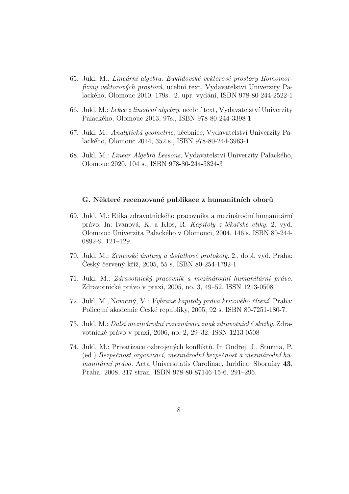- 65. Jukl, M.: Lineární algebra: Euklidovské vektorové prostory Homomorfizmy vektorových prostorů, učební text, Vydavatelství Univerzity Palackého, Olomouc 2010, 179s., 2. upr. vydání, ISBN 978-80-244-2522-1
- 66. Jukl, M.: Lekce z lineární algebry, učební text, Vydavatelství Univerzity Palackého, Olomouc 2013, 97s., ISBN 978-80-244-3398-1
- 67. Jukl, M.: Analytická geometrie, učebnice, Vydavatelství Univerzity Palack´eho, Olomouc 2014, 352 s., ISBN 978-80-244-3963-1
- 68. Jukl, M.: *Linear Algebra Lessons*, Vydavatelství Univerzity Palackého, Olomouc 2020, 104 s., ISBN 978-80-244-5824-3

#### G. Některé recenzované publikace z humanitních oborů

- 69. Jukl, M.: Etika zdravotnického pracovníka a mezinárodní humanitární právo. In: Ivanová, K. a Klos, R. *Kapitoly z lékařské etiky*. 2. vyd. Olomouc: Univerzita Palack´eho v Olomouci, 2004. 146 s. ISBN 80-244- 0892-9. 121–129.
- 70. Jukl, M.:  $\check{Z}$ enevské úmluvy a dodatkové protokoly. 2., dopl. vyd. Praha: Ceský červený kříž, 2005, 55 s. ISBN 80-254-1792-1
- 71. Jukl, M.: Zdravotnický pracovník a mezinárodní humanitární právo. Zdravotnické právo v praxi, 2005, no. 3, 49–52. ISSN 1213-0508
- 72. Jukl, M., Novotný, V.: Vybrané kapitoly práva krizového řízení. Praha: Policejní akademie České republiky, 2005, 92 s. ISBN 80-7251-180-7.
- 73. Jukl, M.: Další mezinárodní rozeznávací znak zdravotnické služby. Zdravotnické právo v praxi, 2006, no. 2, 29–32. ISSN 1213-0508
- 74. Jukl, M.: Privatizace ozbrojených konfliktů. In Ondřej, J., Šturma, P. (ed.) Bezpečnost organizací, mezinárodní bezpečnost a mezinárodní hu $manitární právo. Acta Universitatis Carolinae, Iuridica, Sborníky 43,$ Praha: 2008, 317 stran. ISBN 978-80-87146-15-6. 291–296.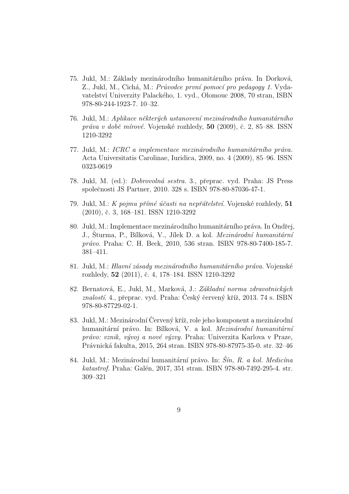- 75. Jukl, M.: Základy mezinárodního humanitárního práva. In Dorková, Z., Jukl, M., Cichá, M.: Průvodce první pomocí pro pedagogy 1. Vydavatelství Univerzity Palackého, 1. vyd., Olomouc 2008, 70 stran, ISBN 978-80-244-1923-7. 10–32.
- 76. Jukl, M.: Aplikace některých ustanovení mezinárodního humanitárního práva v době mírové. Vojenské rozhledy,  $50$  (2009), č. 2, 85–88. ISSN 1210-3292
- 77. Jukl, M.:  $ICRC$  a implementace mezinárodního humanitárního práva. Acta Universitatis Carolinae, Iuridica, 2009, no. 4 (2009), 85–96. ISSN 0323-0619
- 78. Jukl, M. (ed.): *Dobrovolná sestra.* 3., přeprac. vyd. Praha: JS Press společnosti JS Partner, 2010. 328 s. ISBN 978-80-87036-47-1.
- 79. Jukl, M.: K pojmu přímé účasti na nepřátelství. Vojenské rozhledy,  $51$ (2010), č. 3, 168–181. ISSN 1210-3292
- 80. Jukl, M.: Implementace mezinárodního humanitárního práva. In Ondřej, J., Sturma, P., Bílková, V., Jílek D. a kol. *Mezinárodní humanitární* právo. Praha: C. H. Beck, 2010, 536 stran. ISBN 978-80-7400-185-7. 381–411.
- 81. Jukl, M.: Hlavní zásady mezinárodního humanitárního práva. Vojenské rozhledy, 52 (2011), č. 4, 178–184. ISSN 1210-3292
- 82. Bernatová, E., Jukl, M., Marková, J.: Základní norma zdravotnických  $znalostí. 4., přeprac. vyd. Praha: Český červený kříž, 2013. 74 s. ISBN$ 978-80-87729-02-1.
- 83. Jukl, M.: Mezinárodní Červený kříž, role jeho komponent a mezinárodní humanitární právo. In: Bílková, V. a kol. Mezinárodní humanitární právo: vznik, vývoj a nové výzvy. Praha: Univerzita Karlova v Praze, Právnická fakulta, 2015, 264 stran. ISBN 978-80-87975-35-0. str. 32-46
- 84. Jukl, M.: Mezinárodní humanitární právo. In: Šín, R. a kol. Medicína katastrof. Praha: Galén, 2017, 351 stran. ISBN 978-80-7492-295-4. str. 309–321